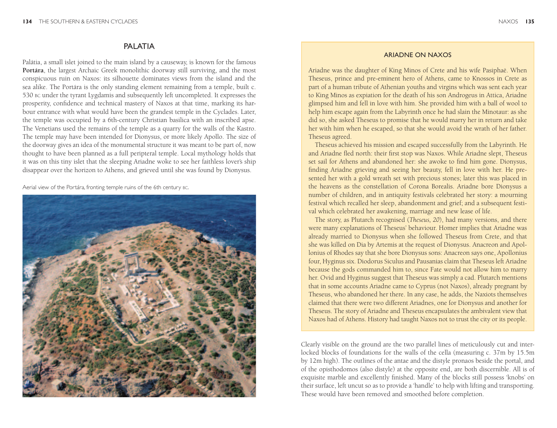## **PALATIA**

Palátia, a small islet joined to the main island by a causeway, is known for the famous **Portára**, the largest Archaic Greek monolithic doorway still surviving, and the most conspicuous ruin on Naxos: its silhouette dominates views from the island and the sea alike. The Portára is the only standing element remaining from a temple, built c. 530 bc under the tyrant Lygdamis and subsequently left uncompleted. It expresses the prosperity, confidence and technical mastery of Naxos at that time, marking its harbour entrance with what would have been the grandest temple in the Cyclades. Later, the temple was occupied by a 6th-century Christian basilica with an inscribed apse. The Venetians used the remains of the temple as a quarry for the walls of the Kastro. The temple may have been intended for Dionysus, or more likely Apollo. The size of the doorway gives an idea of the monumental structure it was meant to be part of, now thought to have been planned as a full peripteral temple. Local mythology holds that it was on this tiny islet that the sleeping Ariadne woke to see her faithless lover's ship disappear over the horizon to Athens, and grieved until she was found by Dionysus.

Aerial view of the Portára, fronting temple ruins of the 6th century bc.



### Ariadne on Naxos

Ariadne was the daughter of King Minos of Crete and his wife Pasiphaë. When Theseus, prince and pre-eminent hero of Athens, came to Knossos in Crete as part of a human tribute of Athenian youths and virgins which was sent each year to King Minos as expiation for the death of his son Androgeus in Attica, Ariadne glimpsed him and fell in love with him. She provided him with a ball of wool to help him escape again from the Labyrinth once he had slain the Minotaur: as she did so, she asked Theseus to promise that he would marry her in return and take her with him when he escaped, so that she would avoid the wrath of her father. Theseus agreed.

Theseus achieved his mission and escaped successfully from the Labyrinth. He and Ariadne fled north: their first stop was Naxos. While Ariadne slept, Theseus set sail for Athens and abandoned her: she awoke to find him gone. Dionysus, finding Ariadne grieving and seeing her beauty, fell in love with her. He presented her with a gold wreath set with precious stones; later this was placed in the heavens as the constellation of Corona Borealis. Ariadne bore Dionysus a number of children, and in antiquity festivals celebrated her story: a mourning festival which recalled her sleep, abandonment and grief; and a subsequent festival which celebrated her awakening, marriage and new lease of life.

The story, as Plutarch recognised (*Theseus, 20*), had many versions, and there were many explanations of Theseus' behaviour. Homer implies that Ariadne was already married to Dionysus when she followed Theseus from Crete, and that she was killed on Dia by Artemis at the request of Dionysus. Anacreon and Apollonius of Rhodes say that she bore Dionysus sons: Anacreon says one, Apollonius four, Hyginus six. Diodorus Siculus and Pausanias claim that Theseus left Ariadne because the gods commanded him to, since Fate would not allow him to marry her. Ovid and Hyginus suggest that Theseus was simply a cad. Plutarch mentions that in some accounts Ariadne came to Cyprus (not Naxos), already pregnant by Theseus, who abandoned her there. In any case, he adds, the Naxiots themselves claimed that there were two different Ariadnes, one for Dionysus and another for Theseus. The story of Ariadne and Theseus encapsulates the ambivalent view that Naxos had of Athens. History had taught Naxos not to trust the city or its people.

Clearly visible on the ground are the two parallel lines of meticulously cut and interlocked blocks of foundations for the walls of the cella (measuring c. 37m by 15.5m by 12m high). The outlines of the antae and the distyle pronaos beside the portal, and of the opisthodomos (also distyle) at the opposite end, are both discernible. All is of exquisite marble and excellently finished. Many of the blocks still possess 'knobs' on their surface, left uncut so as to provide a 'handle' to help with lifting and transporting. These would have been removed and smoothed before completion.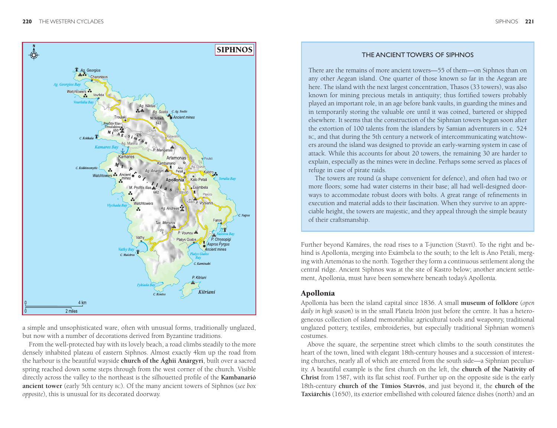

a simple and unsophisticated ware, often with unusual forms, traditionally unglazed, but now with a number of decorations derived from Byzantine traditions.

From the well-protected bay with its lovely beach, a road climbs steadily to the more densely inhabited plateau of eastern Siphnos. Almost exactly 4km up the road from the harbour is the beautiful wayside **church of the Ághii Anárgyri**, built over a sacred spring reached down some steps through from the west corner of the church. Visible directly across the valley to the northeast is the silhouetted profile of the **Kambanarió ancient tower** (early 5th century bc). Of the many ancient towers of Siphnos (*see box opposite*), this is unusual for its decorated doorway.

## The Ancient Towers of Siphnos

There are the remains of more ancient towers—55 of them—on Siphnos than on any other Aegean island. One quarter of those known so far in the Aegean are here. The island with the next largest concentration, Thasos (33 towers), was also known for mining precious metals in antiquity; thus fortified towers probably played an important role, in an age before bank vaults, in guarding the mines and in temporarily storing the valuable ore until it was coined, bartered or shipped elsewhere. It seems that the construction of the Siphnian towers began soon after the extortion of 100 talents from the islanders by Samian adventurers in c. 524 bc, and that during the 5th century a network of intercommunicating watchtowers around the island was designed to provide an early-warning system in case of attack. While this accounts for about 20 towers, the remaining 30 are harder to explain, especially as the mines were in decline. Perhaps some served as places of refuge in case of pirate raids.

The towers are round (a shape convenient for defence), and often had two or more floors; some had water cisterns in their base; all had well-designed doorways to accommodate robust doors with bolts. A great range of refinements in execution and material adds to their fascination. When they survive to an appreciable height, the towers are majestic, and they appeal through the simple beauty of their craftsmanship.

Further beyond Kamáres, the road rises to a T-junction (Stavrí). To the right and behind is Apollonía, merging into Exámbela to the south; to the left is Áno Petáli, merging with Artemónas to the north. Together they form a continuous settlement along the central ridge. Ancient Siphnos was at the site of Kastro below; another ancient settlement, Apollonia, must have been somewhere beneath today's Apollonía.

#### Apollonía

Apollonía has been the island capital since 1836. A small **museum of folklore** (*open daily in high season*) is in the small Plateía Iróön just before the centre. It has a heterogeneous collection of island memorabilia: agricultural tools and weaponry, traditional unglazed pottery, textiles, embroideries, but especially traditional Siphnian women's costumes.

Above the square, the serpentine street which climbs to the south constitutes the heart of the town, lined with elegant 18th-century houses and a succession of interesting churches, nearly all of which are entered from the south side—a Siphnian peculiarity. A beautiful example is the first church on the left, the **church of the Nativity of Christ** from 1587, with its flat schist roof. Further up on the opposite side is the early 18th-century **church of the Tímios Stavrós**, and just beyond it, the **church of the Taxiárchis** (1650), its exterior embellished with coloured faïence dishes (north) and an